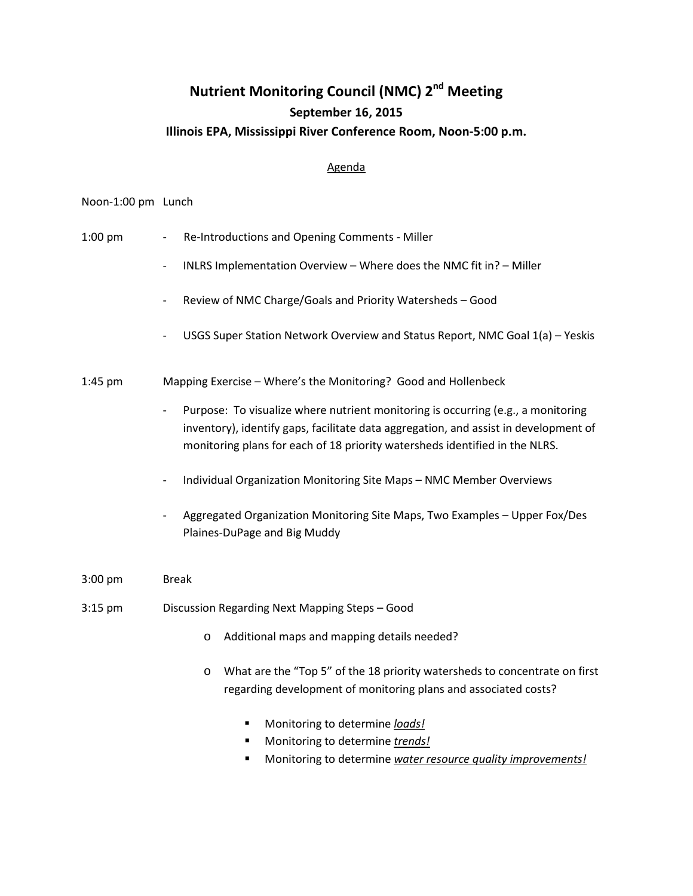## **Nutrient Monitoring Council (NMC) 2<sup>nd</sup> Meeting September 16, 2015 Illinois EPA, Mississippi River Conference Room, Noon-5:00 p.m.**

## Agenda

## Noon-1:00 pm Lunch

- 1:00 pm Re-Introductions and Opening Comments Miller
	- INLRS Implementation Overview Where does the NMC fit in? Miller
	- Review of NMC Charge/Goals and Priority Watersheds Good
	- USGS Super Station Network Overview and Status Report, NMC Goal 1(a) Yeskis

1:45 pm Mapping Exercise – Where's the Monitoring? Good and Hollenbeck

- Purpose: To visualize where nutrient monitoring is occurring (e.g., a monitoring inventory), identify gaps, facilitate data aggregation, and assist in development of monitoring plans for each of 18 priority watersheds identified in the NLRS.
- Individual Organization Monitoring Site Maps NMC Member Overviews
- Aggregated Organization Monitoring Site Maps, Two Examples Upper Fox/Des Plaines-DuPage and Big Muddy
- 3:00 pm Break
- 3:15 pm Discussion Regarding Next Mapping Steps Good
	- o Additional maps and mapping details needed?
	- o What are the "Top 5" of the 18 priority watersheds to concentrate on first regarding development of monitoring plans and associated costs?
		- **Monitoring to determine** *loads!*
		- Monitoring to determine *trends!*
		- Monitoring to determine *water resource quality improvements!*